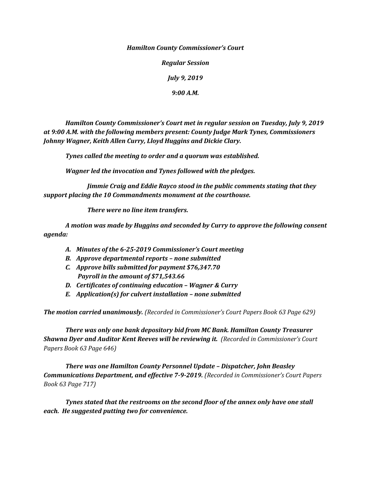*Hamilton County Commissioner's Court*

*Regular Session*

*July 9, 2019*

*9:00 A.M.*

*Hamilton County Commissioner's Court met in regular session on Tuesday, July 9, 2019 at 9:00 A.M. with the following members present: County Judge Mark Tynes, Commissioners Johnny Wagner, Keith Allen Curry, Lloyd Huggins and Dickie Clary.*

*Tynes called the meeting to order and a quorum was established.*

*Wagner led the invocation and Tynes followed with the pledges.*

*Jimmie Craig and Eddie Rayco stood in the public comments stating that they support placing the 10 Commandments monument at the courthouse.*

*There were no line item transfers.*

*A motion was made by Huggins and seconded by Curry to approve the following consent agenda:*

- *A. Minutes of the 6-25-2019 Commissioner's Court meeting*
- *B. Approve departmental reports – none submitted*
- *C. Approve bills submitted for payment \$76,347.70 Payroll in the amount of \$71,543.66*
- *D. Certificates of continuing education – Wagner & Curry*
- *E. Application(s) for culvert installation – none submitted*

*The motion carried unanimously. (Recorded in Commissioner's Court Papers Book 63 Page 629)*

*There was only one bank depository bid from MC Bank. Hamilton County Treasurer Shawna Dyer and Auditor Kent Reeves will be reviewing it. (Recorded in Commissioner's Court Papers Book 63 Page 646)*

*There was one Hamilton County Personnel Update – Dispatcher, John Beasley Communications Department, and effective 7-9-2019. (Recorded in Commissioner's Court Papers Book 63 Page 717)*

*Tynes stated that the restrooms on the second floor of the annex only have one stall each. He suggested putting two for convenience.*